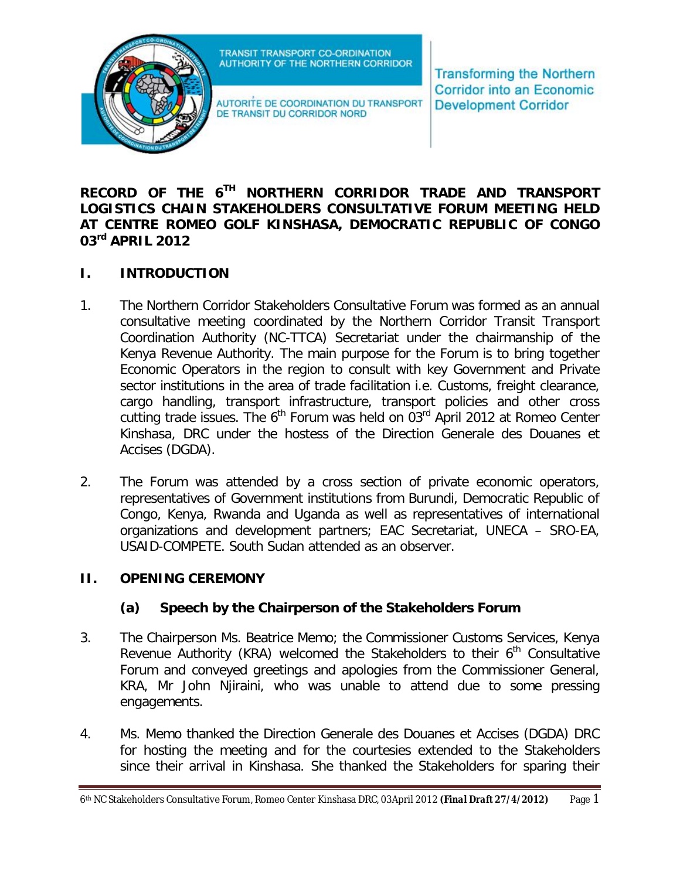

AUTORITE DE COORDINATION DU TRANSPORT DE TRANSIT DU CORRIDOR NORD

**Transforming the Northern Corridor into an Economic Development Corridor** 

### **RECORD OF THE 6 TH NORTHERN CORRIDOR TRADE AND TRANSPORT LOGISTICS CHAIN STAKEHOLDERS CONSULTATIVE FORUM MEETING HELD AT CENTRE ROMEO GOLF KINSHASA, DEMOCRATIC REPUBLIC OF CONGO 03rd APRIL 2012**

## **I. INTRODUCTION**

- 1. The Northern Corridor Stakeholders Consultative Forum was formed as an annual consultative meeting coordinated by the Northern Corridor Transit Transport Coordination Authority (NC-TTCA) Secretariat under the chairmanship of the Kenya Revenue Authority. The main purpose for the Forum is to bring together Economic Operators in the region to consult with key Government and Private sector institutions in the area of trade facilitation i.e. Customs, freight clearance, cargo handling, transport infrastructure, transport policies and other cross cutting trade issues. The  $6<sup>th</sup>$  Forum was held on 03 $<sup>rd</sup>$  April 2012 at Romeo Center</sup> Kinshasa, DRC under the hostess of the Direction Generale des Douanes et Accises (DGDA).
- 2. The Forum was attended by a cross section of private economic operators, representatives of Government institutions from Burundi, Democratic Republic of Congo, Kenya, Rwanda and Uganda as well as representatives of international organizations and development partners; EAC Secretariat, UNECA – SRO-EA, USAID-COMPETE. South Sudan attended as an observer.

#### **II. OPENING CEREMONY**

## **(a) Speech by the Chairperson of the Stakeholders Forum**

- 3. The Chairperson Ms. Beatrice Memo; the Commissioner Customs Services, Kenya Revenue Authority (KRA) welcomed the Stakeholders to their  $6<sup>th</sup>$  Consultative Forum and conveyed greetings and apologies from the Commissioner General, KRA, Mr John Njiraini, who was unable to attend due to some pressing engagements.
- 4. Ms. Memo thanked the Direction Generale des Douanes et Accises (DGDA) DRC for hosting the meeting and for the courtesies extended to the Stakeholders since their arrival in Kinshasa. She thanked the Stakeholders for sparing their

<sup>6</sup>th NC Stakeholders Consultative Forum, Romeo Center Kinshasa DRC, 03April 2012 *(Final Draft 27/4/2012)* Page 1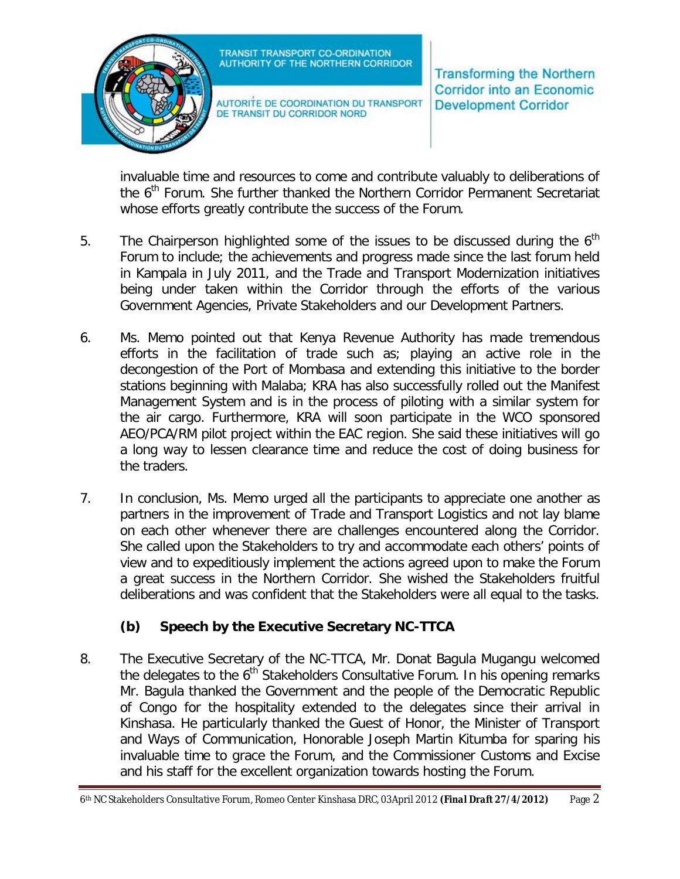

AUTORITE DE COORDINATION DU TRANSPORT DE TRANSIT DU CORRIDOR NORD

**Transforming the Northern Corridor into an Economic Development Corridor** 

invaluable time and resources to come and contribute valuably to deliberations of the 6<sup>th</sup> Forum. She further thanked the Northern Corridor Permanent Secretariat whose efforts greatly contribute the success of the Forum.

- 5. The Chairperson highlighted some of the issues to be discussed during the  $6<sup>th</sup>$ Forum to include; the achievements and progress made since the last forum held in Kampala in July 2011, and the Trade and Transport Modernization initiatives being under taken within the Corridor through the efforts of the various Government Agencies, Private Stakeholders and our Development Partners.
- 6. Ms. Memo pointed out that Kenya Revenue Authority has made tremendous efforts in the facilitation of trade such as; playing an active role in the decongestion of the Port of Mombasa and extending this initiative to the border stations beginning with Malaba; KRA has also successfully rolled out the Manifest Management System and is in the process of piloting with a similar system for the air cargo. Furthermore, KRA will soon participate in the WCO sponsored AEO/PCA/RM pilot project within the EAC region. She said these initiatives will go a long way to lessen clearance time and reduce the cost of doing business for the traders.
- 7. In conclusion, Ms. Memo urged all the participants to appreciate one another as partners in the improvement of Trade and Transport Logistics and not lay blame on each other whenever there are challenges encountered along the Corridor. She called upon the Stakeholders to try and accommodate each others' points of view and to expeditiously implement the actions agreed upon to make the Forum a great success in the Northern Corridor. She wished the Stakeholders fruitful deliberations and was confident that the Stakeholders were all equal to the tasks.

## **(b) Speech by the Executive Secretary NC-TTCA**

8. The Executive Secretary of the NC-TTCA, Mr. Donat Bagula Mugangu welcomed the delegates to the  $6<sup>th</sup>$  Stakeholders Consultative Forum. In his opening remarks Mr. Bagula thanked the Government and the people of the Democratic Republic of Congo for the hospitality extended to the delegates since their arrival in Kinshasa. He particularly thanked the Guest of Honor, the Minister of Transport and Ways of Communication, Honorable Joseph Martin Kitumba for sparing his invaluable time to grace the Forum, and the Commissioner Customs and Excise and his staff for the excellent organization towards hosting the Forum.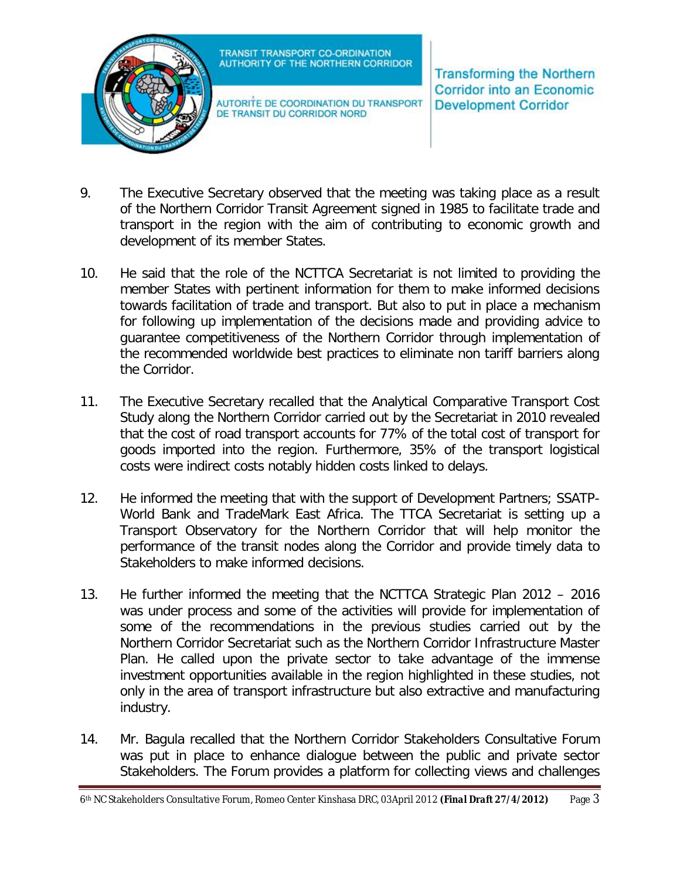

AUTORITE DE COORDINATION DU TRANSPORT DE TRANSIT DU CORRIDOR NORD

**Transforming the Northern Corridor into an Economic Development Corridor** 

- 9. The Executive Secretary observed that the meeting was taking place as a result of the Northern Corridor Transit Agreement signed in 1985 to facilitate trade and transport in the region with the aim of contributing to economic growth and development of its member States.
- 10. He said that the role of the NCTTCA Secretariat is not limited to providing the member States with pertinent information for them to make informed decisions towards facilitation of trade and transport. But also to put in place a mechanism for following up implementation of the decisions made and providing advice to guarantee competitiveness of the Northern Corridor through implementation of the recommended worldwide best practices to eliminate non tariff barriers along the Corridor.
- 11. The Executive Secretary recalled that the Analytical Comparative Transport Cost Study along the Northern Corridor carried out by the Secretariat in 2010 revealed that the cost of road transport accounts for 77% of the total cost of transport for goods imported into the region. Furthermore, 35% of the transport logistical costs were indirect costs notably hidden costs linked to delays.
- 12. He informed the meeting that with the support of Development Partners; SSATP-World Bank and TradeMark East Africa. The TTCA Secretariat is setting up a Transport Observatory for the Northern Corridor that will help monitor the performance of the transit nodes along the Corridor and provide timely data to Stakeholders to make informed decisions.
- 13. He further informed the meeting that the NCTTCA Strategic Plan 2012 2016 was under process and some of the activities will provide for implementation of some of the recommendations in the previous studies carried out by the Northern Corridor Secretariat such as the Northern Corridor Infrastructure Master Plan. He called upon the private sector to take advantage of the immense investment opportunities available in the region highlighted in these studies, not only in the area of transport infrastructure but also extractive and manufacturing industry.
- 14. Mr. Bagula recalled that the Northern Corridor Stakeholders Consultative Forum was put in place to enhance dialogue between the public and private sector Stakeholders. The Forum provides a platform for collecting views and challenges

<sup>6</sup>th NC Stakeholders Consultative Forum, Romeo Center Kinshasa DRC, 03April 2012 *(Final Draft 27/4/2012)* Page 3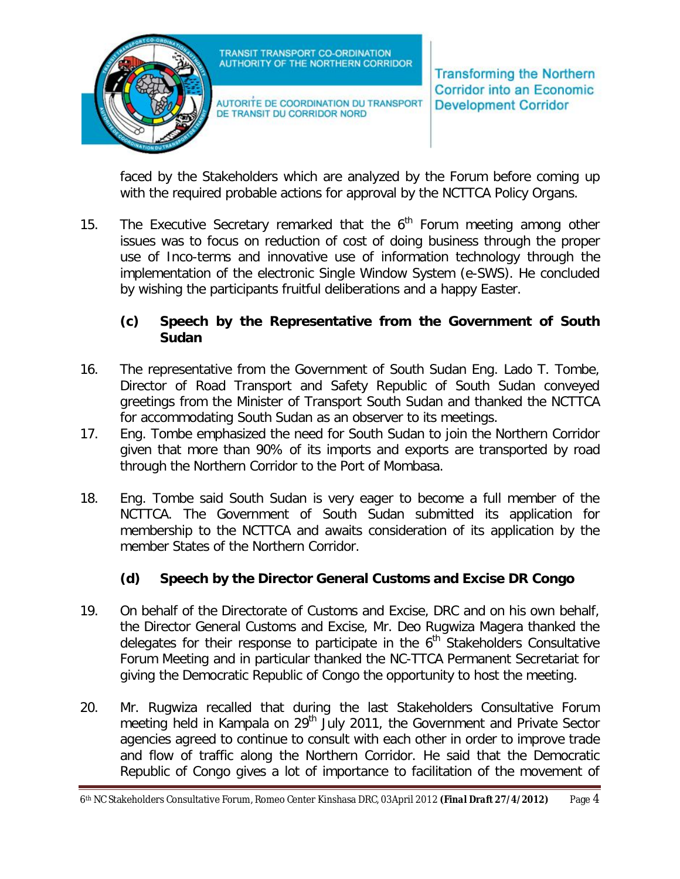

AUTORITE DE COORDINATION DU TRANSPORT DE TRANSIT DU CORRIDOR NORD

**Transforming the Northern Corridor into an Economic Development Corridor** 

faced by the Stakeholders which are analyzed by the Forum before coming up with the required probable actions for approval by the NCTTCA Policy Organs.

15. The Executive Secretary remarked that the  $6<sup>th</sup>$  Forum meeting among other issues was to focus on reduction of cost of doing business through the proper use of Inco-terms and innovative use of information technology through the implementation of the electronic Single Window System (e-SWS). He concluded by wishing the participants fruitful deliberations and a happy Easter.

### **(c) Speech by the Representative from the Government of South Sudan**

- 16. The representative from the Government of South Sudan Eng. Lado T. Tombe, Director of Road Transport and Safety Republic of South Sudan conveyed greetings from the Minister of Transport South Sudan and thanked the NCTTCA for accommodating South Sudan as an observer to its meetings.
- 17. Eng. Tombe emphasized the need for South Sudan to join the Northern Corridor given that more than 90% of its imports and exports are transported by road through the Northern Corridor to the Port of Mombasa.
- 18. Eng. Tombe said South Sudan is very eager to become a full member of the NCTTCA. The Government of South Sudan submitted its application for membership to the NCTTCA and awaits consideration of its application by the member States of the Northern Corridor.

# **(d) Speech by the Director General Customs and Excise DR Congo**

- 19. On behalf of the Directorate of Customs and Excise, DRC and on his own behalf, the Director General Customs and Excise, Mr. Deo Rugwiza Magera thanked the delegates for their response to participate in the  $6<sup>th</sup>$  Stakeholders Consultative Forum Meeting and in particular thanked the NC-TTCA Permanent Secretariat for giving the Democratic Republic of Congo the opportunity to host the meeting.
- 20. Mr. Rugwiza recalled that during the last Stakeholders Consultative Forum meeting held in Kampala on 29<sup>th</sup> July 2011, the Government and Private Sector agencies agreed to continue to consult with each other in order to improve trade and flow of traffic along the Northern Corridor. He said that the Democratic Republic of Congo gives a lot of importance to facilitation of the movement of

<sup>6</sup>th NC Stakeholders Consultative Forum, Romeo Center Kinshasa DRC, 03April 2012 *(Final Draft 27/4/2012)* Page 4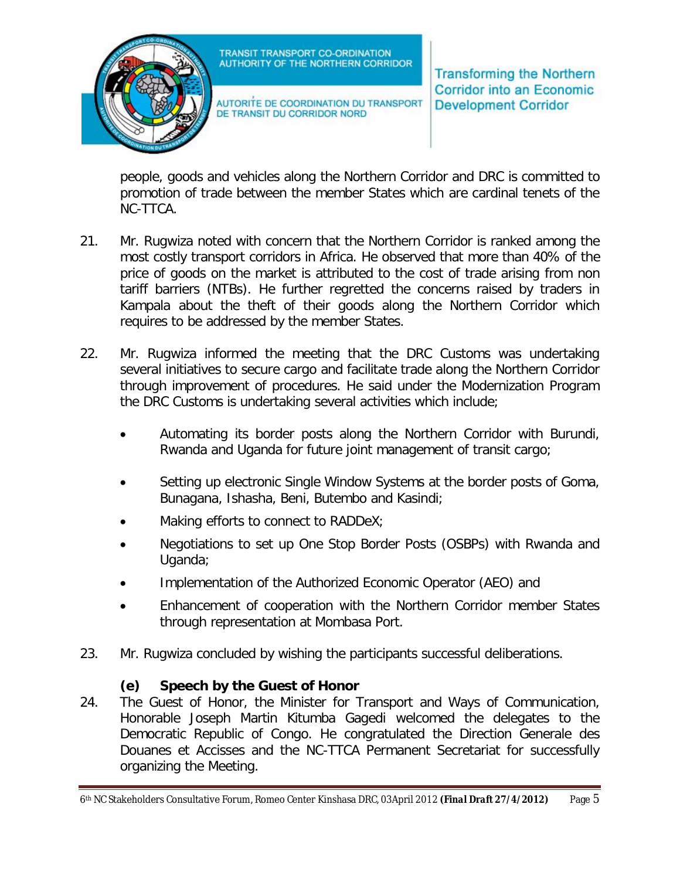

AUTORITE DE COORDINATION DU TRANSPORT DE TRANSIT DU CORRIDOR NORD

**Transforming the Northern Corridor into an Economic Development Corridor** 

people, goods and vehicles along the Northern Corridor and DRC is committed to promotion of trade between the member States which are cardinal tenets of the NC-TTCA.

- 21. Mr. Rugwiza noted with concern that the Northern Corridor is ranked among the most costly transport corridors in Africa. He observed that more than 40% of the price of goods on the market is attributed to the cost of trade arising from non tariff barriers (NTBs). He further regretted the concerns raised by traders in Kampala about the theft of their goods along the Northern Corridor which requires to be addressed by the member States.
- 22. Mr. Rugwiza informed the meeting that the DRC Customs was undertaking several initiatives to secure cargo and facilitate trade along the Northern Corridor through improvement of procedures. He said under the Modernization Program the DRC Customs is undertaking several activities which include;
	- Automating its border posts along the Northern Corridor with Burundi, Rwanda and Uganda for future joint management of transit cargo;
	- Setting up electronic Single Window Systems at the border posts of Goma, Bunagana, Ishasha, Beni, Butembo and Kasindi;
	- Making efforts to connect to RADDeX;
	- Negotiations to set up One Stop Border Posts (OSBPs) with Rwanda and Uganda;
	- Implementation of the Authorized Economic Operator (AEO) and
	- Enhancement of cooperation with the Northern Corridor member States through representation at Mombasa Port.
- 23. Mr. Rugwiza concluded by wishing the participants successful deliberations.

## **(e) Speech by the Guest of Honor**

24. The Guest of Honor, the Minister for Transport and Ways of Communication, Honorable Joseph Martin Kitumba Gagedi welcomed the delegates to the Democratic Republic of Congo. He congratulated the Direction Generale des Douanes et Accisses and the NC-TTCA Permanent Secretariat for successfully organizing the Meeting.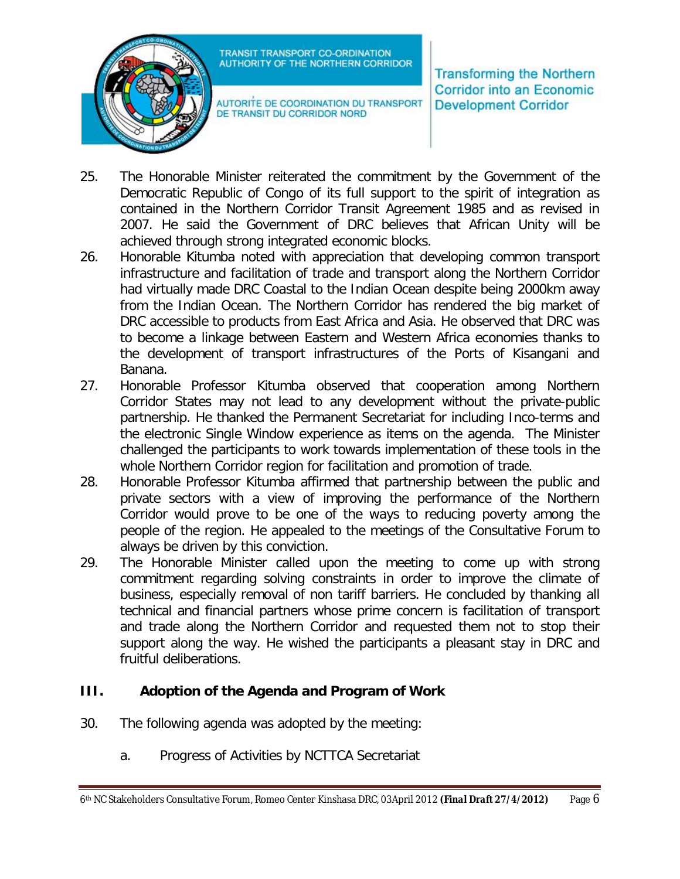

AUTORITE DE COORDINATION DU TRANSPORT DE TRANSIT DU CORRIDOR NORD

**Transforming the Northern Corridor into an Economic Development Corridor** 

- 25. The Honorable Minister reiterated the commitment by the Government of the Democratic Republic of Congo of its full support to the spirit of integration as contained in the Northern Corridor Transit Agreement 1985 and as revised in 2007. He said the Government of DRC believes that African Unity will be achieved through strong integrated economic blocks.
- 26. Honorable Kitumba noted with appreciation that developing common transport infrastructure and facilitation of trade and transport along the Northern Corridor had virtually made DRC Coastal to the Indian Ocean despite being 2000km away from the Indian Ocean. The Northern Corridor has rendered the big market of DRC accessible to products from East Africa and Asia. He observed that DRC was to become a linkage between Eastern and Western Africa economies thanks to the development of transport infrastructures of the Ports of Kisangani and Banana.
- 27. Honorable Professor Kitumba observed that cooperation among Northern Corridor States may not lead to any development without the private-public partnership. He thanked the Permanent Secretariat for including Inco-terms and the electronic Single Window experience as items on the agenda. The Minister challenged the participants to work towards implementation of these tools in the whole Northern Corridor region for facilitation and promotion of trade.
- 28. Honorable Professor Kitumba affirmed that partnership between the public and private sectors with a view of improving the performance of the Northern Corridor would prove to be one of the ways to reducing poverty among the people of the region. He appealed to the meetings of the Consultative Forum to always be driven by this conviction.
- 29. The Honorable Minister called upon the meeting to come up with strong commitment regarding solving constraints in order to improve the climate of business, especially removal of non tariff barriers. He concluded by thanking all technical and financial partners whose prime concern is facilitation of transport and trade along the Northern Corridor and requested them not to stop their support along the way. He wished the participants a pleasant stay in DRC and fruitful deliberations.

## **III. Adoption of the Agenda and Program of Work**

- 30. The following agenda was adopted by the meeting:
	- a. Progress of Activities by NCTTCA Secretariat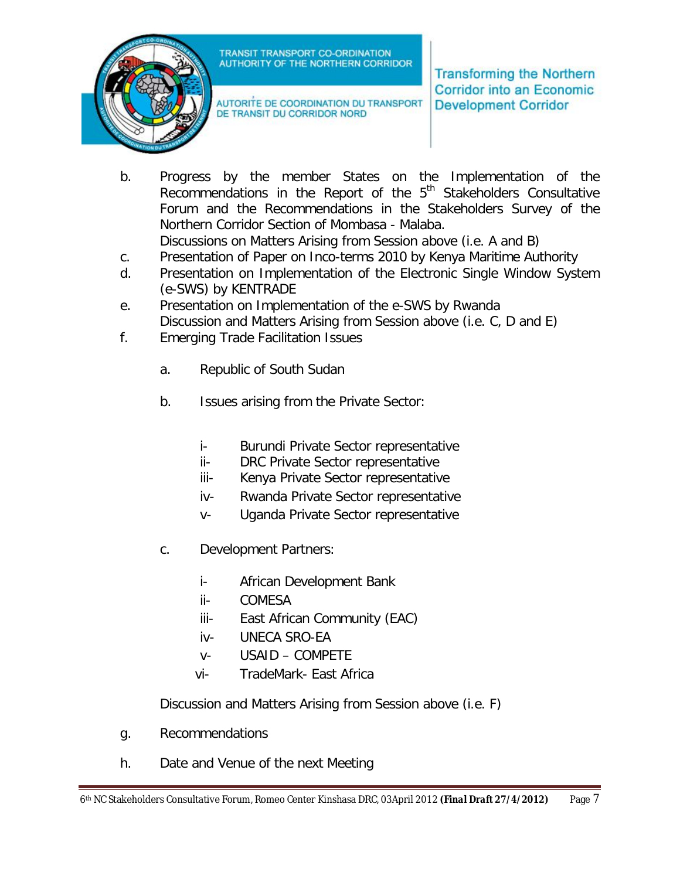

AUTORITE DE COORDINATION DU TRANSPORT DE TRANSIT DU CORRIDOR NORD

**Transforming the Northern Corridor into an Economic Development Corridor** 

- b. Progress by the member States on the Implementation of the Recommendations in the Report of the  $5<sup>th</sup>$  Stakeholders Consultative Forum and the Recommendations in the Stakeholders Survey of the Northern Corridor Section of Mombasa - Malaba. Discussions on Matters Arising from Session above (i.e. A and B)
- c. Presentation of Paper on Inco-terms 2010 by Kenya Maritime Authority
- d. Presentation on Implementation of the Electronic Single Window System (e-SWS) by KENTRADE
- e. Presentation on Implementation of the e-SWS by Rwanda Discussion and Matters Arising from Session above (i.e. C, D and E)
- f. Emerging Trade Facilitation Issues
	- a. Republic of South Sudan
	- b. Issues arising from the Private Sector:
		- i- Burundi Private Sector representative
		- ii- DRC Private Sector representative
		- iii- Kenya Private Sector representative
		- iv- Rwanda Private Sector representative
		- v- Uganda Private Sector representative
	- c. Development Partners:
		- i- African Development Bank
		- ii- COMESA
		- iii- East African Community (EAC)
		- iv- UNECA SRO-EA
		- v- USAID COMPETE
		- vi- TradeMark- East Africa

Discussion and Matters Arising from Session above (i.e. F)

- g. Recommendations
- h. Date and Venue of the next Meeting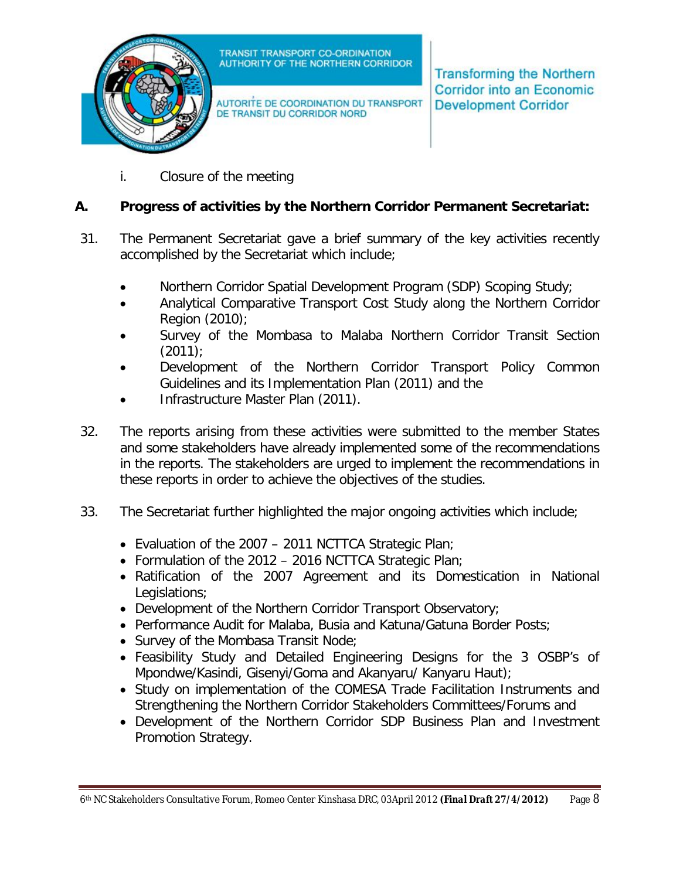

AUTORITE DE COORDINATION DU TRANSPORT DE TRANSIT DU CORRIDOR NORD

**Transforming the Northern Corridor into an Economic Development Corridor** 

i. Closure of the meeting

### **A. Progress of activities by the Northern Corridor Permanent Secretariat:**

- 31. The Permanent Secretariat gave a brief summary of the key activities recently accomplished by the Secretariat which include;
	- Northern Corridor Spatial Development Program (SDP) Scoping Study;
	- Analytical Comparative Transport Cost Study along the Northern Corridor Region (2010);
	- Survey of the Mombasa to Malaba Northern Corridor Transit Section  $(2011)$ ;
	- Development of the Northern Corridor Transport Policy Common Guidelines and its Implementation Plan (2011) and the
	- Infrastructure Master Plan (2011).
- 32. The reports arising from these activities were submitted to the member States and some stakeholders have already implemented some of the recommendations in the reports. The stakeholders are urged to implement the recommendations in these reports in order to achieve the objectives of the studies.
- 33. The Secretariat further highlighted the major ongoing activities which include;
	- Evaluation of the 2007 2011 NCTTCA Strategic Plan;
	- Formulation of the 2012 2016 NCTTCA Strategic Plan;
	- Ratification of the 2007 Agreement and its Domestication in National Legislations:
	- Development of the Northern Corridor Transport Observatory;
	- Performance Audit for Malaba, Busia and Katuna/Gatuna Border Posts;
	- Survey of the Mombasa Transit Node;
	- Feasibility Study and Detailed Engineering Designs for the 3 OSBP's of Mpondwe/Kasindi, Gisenyi/Goma and Akanyaru/ Kanyaru Haut);
	- Study on implementation of the COMESA Trade Facilitation Instruments and Strengthening the Northern Corridor Stakeholders Committees/Forums and
	- Development of the Northern Corridor SDP Business Plan and Investment Promotion Strategy.

<sup>6</sup>th NC Stakeholders Consultative Forum, Romeo Center Kinshasa DRC, 03April 2012 *(Final Draft 27/4/2012)* Page 8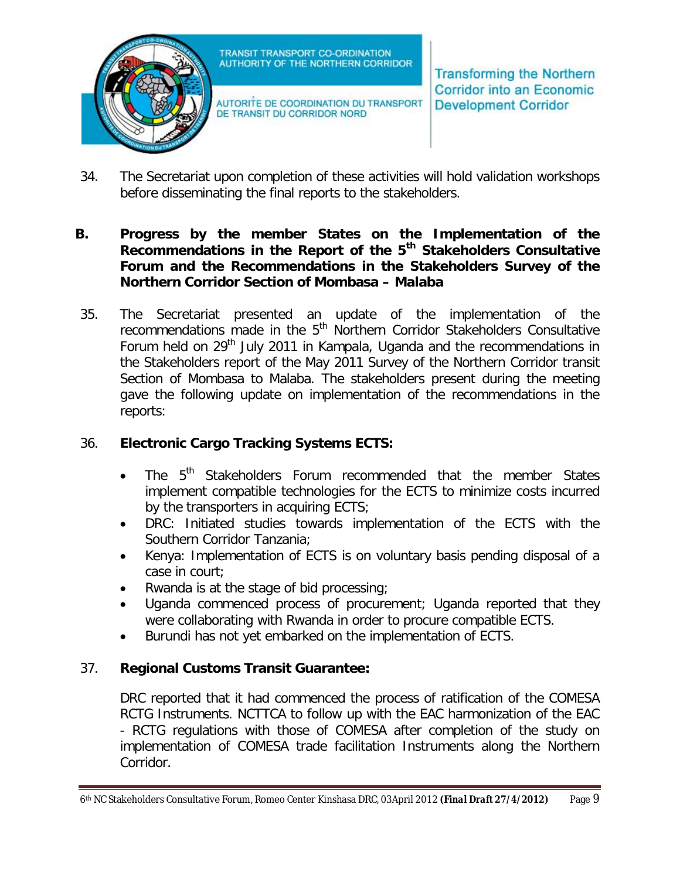

AUTORITE DE COORDINATION DU TRANSPORT DE TRANSIT DU CORRIDOR NORD

**Transforming the Northern Corridor into an Economic Development Corridor** 

34. The Secretariat upon completion of these activities will hold validation workshops before disseminating the final reports to the stakeholders.

#### **B. Progress by the member States on the Implementation of the Recommendations in the Report of the 5th Stakeholders Consultative Forum and the Recommendations in the Stakeholders Survey of the Northern Corridor Section of Mombasa – Malaba**

35. The Secretariat presented an update of the implementation of the recommendations made in the  $5<sup>th</sup>$  Northern Corridor Stakeholders Consultative Forum held on  $29<sup>th</sup>$  July 2011 in Kampala, Uganda and the recommendations in the Stakeholders report of the May 2011 Survey of the Northern Corridor transit Section of Mombasa to Malaba. The stakeholders present during the meeting gave the following update on implementation of the recommendations in the reports:

### 36. **Electronic Cargo Tracking Systems ECTS:**

- $\bullet$  The  $5^{th}$  Stakeholders Forum recommended that the member States implement compatible technologies for the ECTS to minimize costs incurred by the transporters in acquiring ECTS;
- DRC: Initiated studies towards implementation of the ECTS with the Southern Corridor Tanzania;
- Kenya: Implementation of ECTS is on voluntary basis pending disposal of a case in court;
- Rwanda is at the stage of bid processing;
- Uganda commenced process of procurement; Uganda reported that they were collaborating with Rwanda in order to procure compatible ECTS.
- Burundi has not yet embarked on the implementation of ECTS.

## 37. **Regional Customs Transit Guarantee:**

DRC reported that it had commenced the process of ratification of the COMESA RCTG Instruments. NCTTCA to follow up with the EAC harmonization of the EAC - RCTG regulations with those of COMESA after completion of the study on implementation of COMESA trade facilitation Instruments along the Northern Corridor.

<sup>6</sup>th NC Stakeholders Consultative Forum, Romeo Center Kinshasa DRC, 03April 2012 *(Final Draft 27/4/2012)* Page 9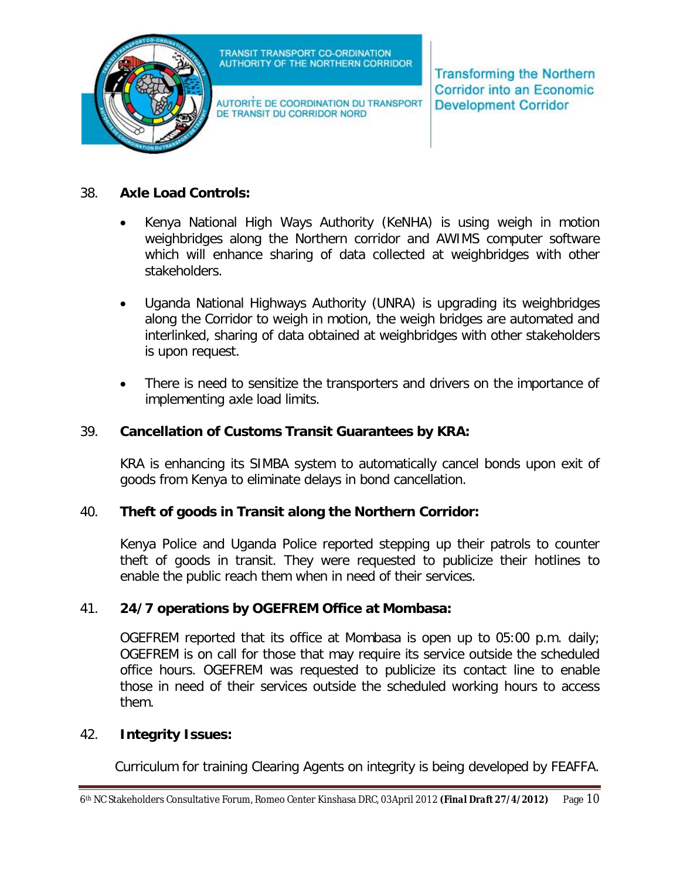

AUTORITE DE COORDINATION DU TRANSPORT DE TRANSIT DU CORRIDOR NORD

**Transforming the Northern Corridor into an Economic Development Corridor** 

#### 38. **Axle Load Controls:**

- Kenya National High Ways Authority (KeNHA) is using weigh in motion weighbridges along the Northern corridor and AWIMS computer software which will enhance sharing of data collected at weighbridges with other stakeholders.
- Uganda National Highways Authority (UNRA) is upgrading its weighbridges along the Corridor to weigh in motion, the weigh bridges are automated and interlinked, sharing of data obtained at weighbridges with other stakeholders is upon request.
- There is need to sensitize the transporters and drivers on the importance of implementing axle load limits.

#### 39. **Cancellation of Customs Transit Guarantees by KRA:**

KRA is enhancing its SIMBA system to automatically cancel bonds upon exit of goods from Kenya to eliminate delays in bond cancellation.

#### 40. **Theft of goods in Transit along the Northern Corridor:**

Kenya Police and Uganda Police reported stepping up their patrols to counter theft of goods in transit. They were requested to publicize their hotlines to enable the public reach them when in need of their services.

#### 41. **24/7 operations by OGEFREM Office at Mombasa:**

OGEFREM reported that its office at Mombasa is open up to 05:00 p.m. daily; OGEFREM is on call for those that may require its service outside the scheduled office hours. OGEFREM was requested to publicize its contact line to enable those in need of their services outside the scheduled working hours to access them.

#### 42. **Integrity Issues:**

Curriculum for training Clearing Agents on integrity is being developed by FEAFFA.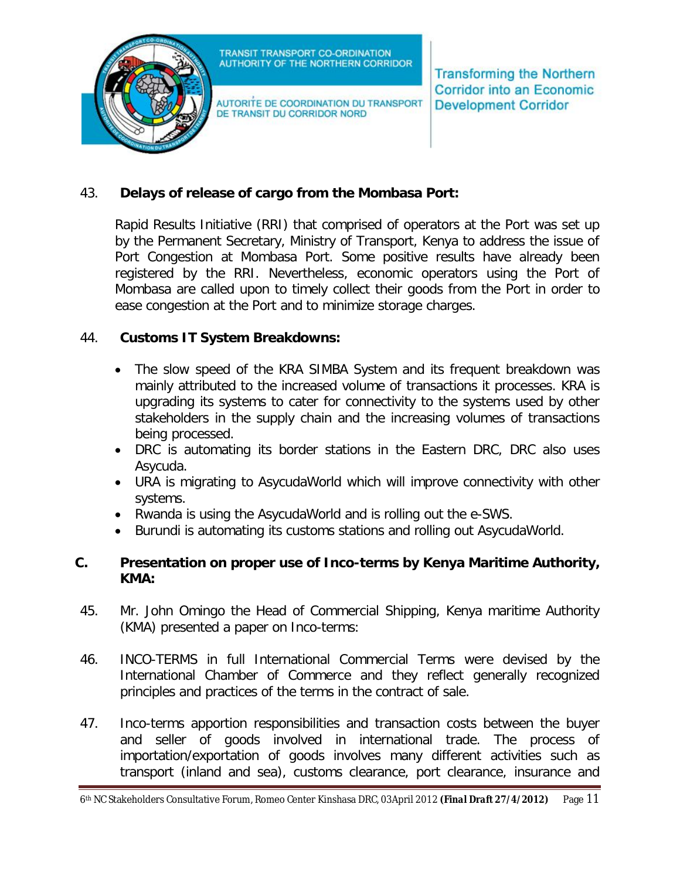

AUTORITE DE COORDINATION DU TRANSPORT DE TRANSIT DU CORRIDOR NORD

**Transforming the Northern Corridor into an Economic Development Corridor** 

## 43. **Delays of release of cargo from the Mombasa Port:**

Rapid Results Initiative (RRI) that comprised of operators at the Port was set up by the Permanent Secretary, Ministry of Transport, Kenya to address the issue of Port Congestion at Mombasa Port. Some positive results have already been registered by the RRI. Nevertheless, economic operators using the Port of Mombasa are called upon to timely collect their goods from the Port in order to ease congestion at the Port and to minimize storage charges.

#### 44. **Customs IT System Breakdowns:**

- The slow speed of the KRA SIMBA System and its frequent breakdown was mainly attributed to the increased volume of transactions it processes. KRA is upgrading its systems to cater for connectivity to the systems used by other stakeholders in the supply chain and the increasing volumes of transactions being processed.
- DRC is automating its border stations in the Eastern DRC, DRC also uses Asycuda.
- URA is migrating to AsycudaWorld which will improve connectivity with other systems.
- Rwanda is using the AsycudaWorld and is rolling out the e-SWS.
- Burundi is automating its customs stations and rolling out AsycudaWorld.

#### **C. Presentation on proper use of Inco-terms by Kenya Maritime Authority, KMA:**

- 45. Mr. John Omingo the Head of Commercial Shipping, Kenya maritime Authority (KMA) presented a paper on Inco-terms:
- 46. INCO-TERMS in full International Commercial Terms were devised by the International Chamber of Commerce and they reflect generally recognized principles and practices of the terms in the contract of sale.
- 47. Inco-terms apportion responsibilities and transaction costs between the buyer and seller of goods involved in international trade. The process of importation/exportation of goods involves many different activities such as transport (inland and sea), customs clearance, port clearance, insurance and

<sup>6</sup>th NC Stakeholders Consultative Forum, Romeo Center Kinshasa DRC, 03April 2012 *(Final Draft 27/4/2012)* Page 11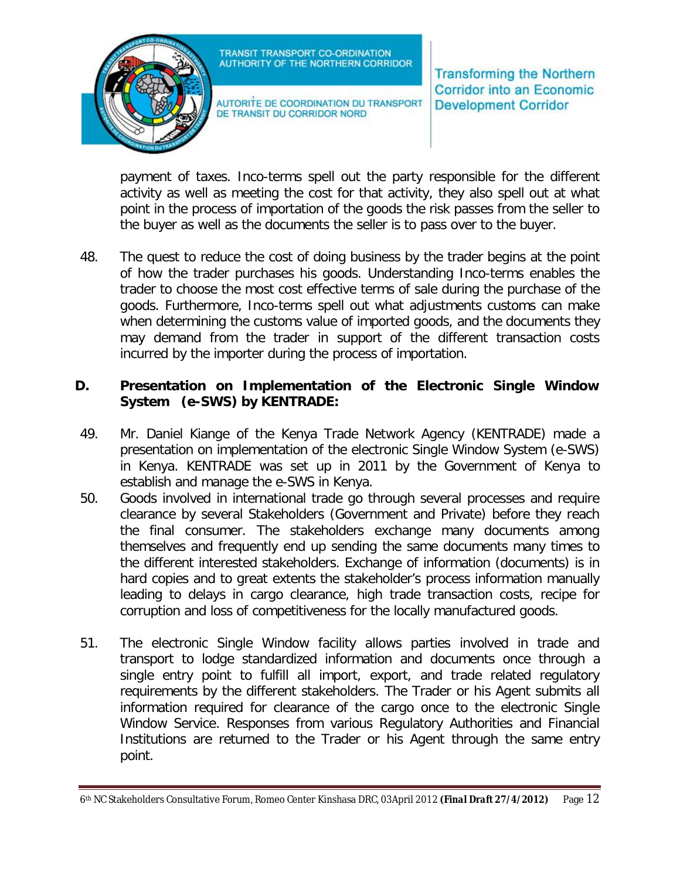

AUTORITE DE COORDINATION DU TRANSPORT DE TRANSIT DU CORRIDOR NORD

**Transforming the Northern Corridor into an Economic Development Corridor** 

payment of taxes. Inco-terms spell out the party responsible for the different activity as well as meeting the cost for that activity, they also spell out at what point in the process of importation of the goods the risk passes from the seller to the buyer as well as the documents the seller is to pass over to the buyer.

48. The quest to reduce the cost of doing business by the trader begins at the point of how the trader purchases his goods. Understanding Inco-terms enables the trader to choose the most cost effective terms of sale during the purchase of the goods. Furthermore, Inco-terms spell out what adjustments customs can make when determining the customs value of imported goods, and the documents they may demand from the trader in support of the different transaction costs incurred by the importer during the process of importation.

#### **D. Presentation on Implementation of the Electronic Single Window System (e-SWS) by KENTRADE:**

- 49. Mr. Daniel Kiange of the Kenya Trade Network Agency (KENTRADE) made a presentation on implementation of the electronic Single Window System (e-SWS) in Kenya. KENTRADE was set up in 2011 by the Government of Kenya to establish and manage the e-SWS in Kenya.
- 50. Goods involved in international trade go through several processes and require clearance by several Stakeholders (Government and Private) before they reach the final consumer. The stakeholders exchange many documents among themselves and frequently end up sending the same documents many times to the different interested stakeholders. Exchange of information (documents) is in hard copies and to great extents the stakeholder's process information manually leading to delays in cargo clearance, high trade transaction costs, recipe for corruption and loss of competitiveness for the locally manufactured goods.
- 51. The electronic Single Window facility allows parties involved in trade and transport to lodge standardized information and documents once through a single entry point to fulfill all import, export, and trade related regulatory requirements by the different stakeholders. The Trader or his Agent submits all information required for clearance of the cargo once to the electronic Single Window Service. Responses from various Regulatory Authorities and Financial Institutions are returned to the Trader or his Agent through the same entry point.

<sup>6</sup>th NC Stakeholders Consultative Forum, Romeo Center Kinshasa DRC, 03April 2012 *(Final Draft 27/4/2012)* Page 12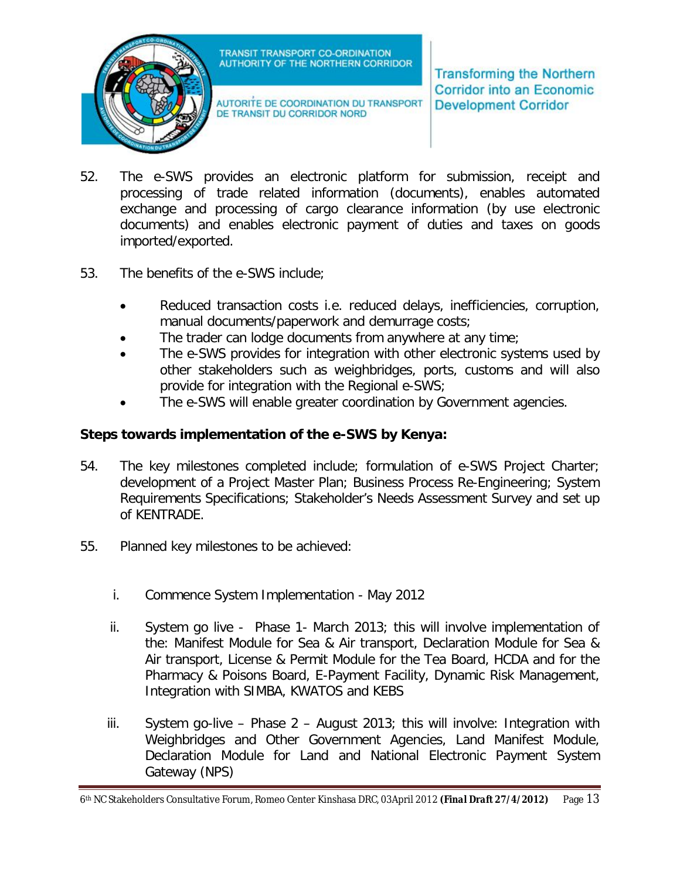

AUTORITE DE COORDINATION DU TRANSPORT DE TRANSIT DU CORRIDOR NORD

**Transforming the Northern Corridor into an Economic Development Corridor** 

- 52. The e-SWS provides an electronic platform for submission, receipt and processing of trade related information (documents), enables automated exchange and processing of cargo clearance information (by use electronic documents) and enables electronic payment of duties and taxes on goods imported/exported.
- 53. The benefits of the e-SWS include;
	- Reduced transaction costs i.e. reduced delays, inefficiencies, corruption, manual documents/paperwork and demurrage costs;
	- The trader can lodge documents from anywhere at any time;
	- The e-SWS provides for integration with other electronic systems used by other stakeholders such as weighbridges, ports, customs and will also provide for integration with the Regional e-SWS;
	- The e-SWS will enable greater coordination by Government agencies.

## **Steps towards implementation of the e-SWS by Kenya:**

- 54. The key milestones completed include; formulation of e-SWS Project Charter; development of a Project Master Plan; Business Process Re-Engineering; System Requirements Specifications; Stakeholder's Needs Assessment Survey and set up of KENTRADE.
- 55. Planned key milestones to be achieved:
	- i. Commence System Implementation May 2012
	- ii. System go live Phase 1- March 2013; this will involve implementation of the: Manifest Module for Sea & Air transport, Declaration Module for Sea & Air transport, License & Permit Module for the Tea Board, HCDA and for the Pharmacy & Poisons Board, E-Payment Facility, Dynamic Risk Management, Integration with SIMBA, KWATOS and KEBS
	- iii. System go-live Phase 2 August 2013; this will involve: Integration with Weighbridges and Other Government Agencies, Land Manifest Module, Declaration Module for Land and National Electronic Payment System Gateway (NPS)

<sup>6</sup>th NC Stakeholders Consultative Forum, Romeo Center Kinshasa DRC, 03April 2012 *(Final Draft 27/4/2012)* Page 13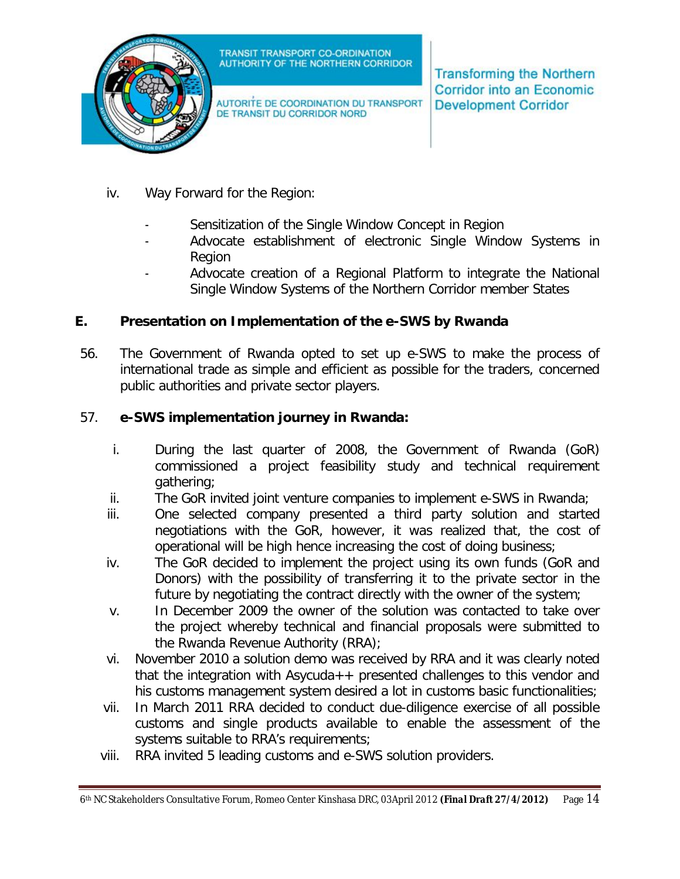

AUTORITE DE COORDINATION DU TRANSPORT DE TRANSIT DU CORRIDOR NORD

**Transforming the Northern Corridor into an Economic Development Corridor** 

- iv. Way Forward for the Region:
	- Sensitization of the Single Window Concept in Region
	- Advocate establishment of electronic Single Window Systems in Region
	- Advocate creation of a Regional Platform to integrate the National Single Window Systems of the Northern Corridor member States

### **E. Presentation on Implementation of the e-SWS by Rwanda**

56. The Government of Rwanda opted to set up e-SWS to make the process of international trade as simple and efficient as possible for the traders, concerned public authorities and private sector players.

### 57. **e-SWS implementation journey in Rwanda:**

- i. During the last quarter of 2008, the Government of Rwanda (GoR) commissioned a project feasibility study and technical requirement gathering;
- ii. The GoR invited joint venture companies to implement e-SWS in Rwanda;
- iii. One selected company presented a third party solution and started negotiations with the GoR, however, it was realized that, the cost of operational will be high hence increasing the cost of doing business;
- iv. The GoR decided to implement the project using its own funds (GoR and Donors) with the possibility of transferring it to the private sector in the future by negotiating the contract directly with the owner of the system;
- v. In December 2009 the owner of the solution was contacted to take over the project whereby technical and financial proposals were submitted to the Rwanda Revenue Authority (RRA);
- vi. November 2010 a solution demo was received by RRA and it was clearly noted that the integration with Asycuda  $++$  presented challenges to this vendor and his customs management system desired a lot in customs basic functionalities;
- vii. In March 2011 RRA decided to conduct due-diligence exercise of all possible customs and single products available to enable the assessment of the systems suitable to RRA's requirements;
- viii. RRA invited 5 leading customs and e-SWS solution providers.

<sup>6</sup>th NC Stakeholders Consultative Forum, Romeo Center Kinshasa DRC, 03April 2012 *(Final Draft 27/4/2012)* Page 14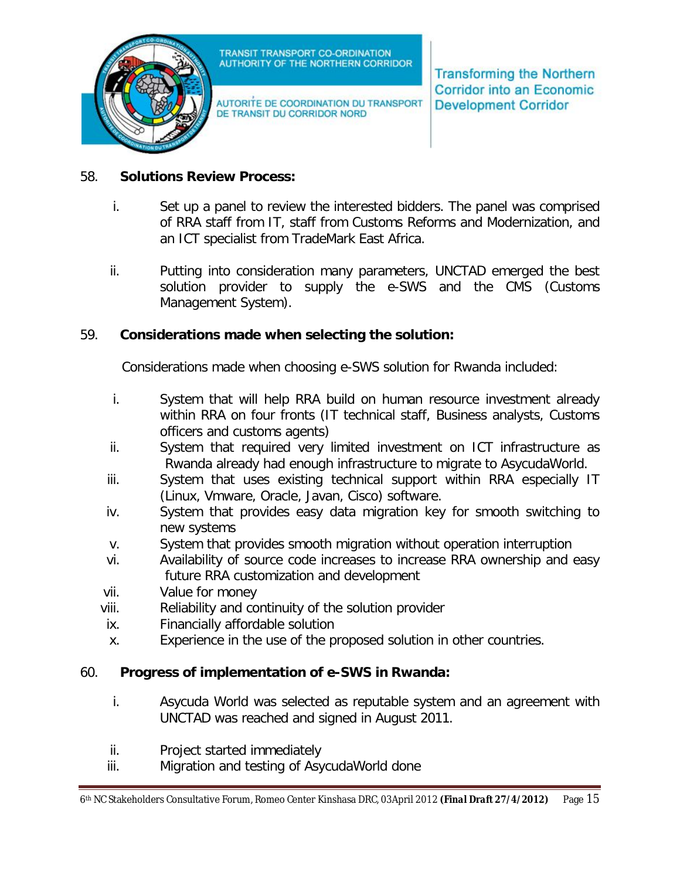

AUTORITE DE COORDINATION DU TRANSPORT DE TRANSIT DU CORRIDOR NORD

**Transforming the Northern Corridor into an Economic Development Corridor** 

#### 58. **Solutions Review Process:**

- i. Set up a panel to review the interested bidders. The panel was comprised of RRA staff from IT, staff from Customs Reforms and Modernization, and an ICT specialist from TradeMark East Africa.
- ii. Putting into consideration many parameters, UNCTAD emerged the best solution provider to supply the e-SWS and the CMS (Customs Management System).

#### 59. **Considerations made when selecting the solution:**

Considerations made when choosing e-SWS solution for Rwanda included:

- i. System that will help RRA build on human resource investment already within RRA on four fronts (IT technical staff, Business analysts, Customs officers and customs agents)
- ii. System that required very limited investment on ICT infrastructure as Rwanda already had enough infrastructure to migrate to AsycudaWorld.
- iii. System that uses existing technical support within RRA especially IT (Linux, Vmware, Oracle, Javan, Cisco) software.
- iv. System that provides easy data migration key for smooth switching to new systems
- v. System that provides smooth migration without operation interruption
- vi. Availability of source code increases to increase RRA ownership and easy future RRA customization and development
- vii. Value for money
- viii. Reliability and continuity of the solution provider
- ix. Financially affordable solution
- x. Experience in the use of the proposed solution in other countries.

## 60. **Progress of implementation of e-SWS in Rwanda:**

- i. Asycuda World was selected as reputable system and an agreement with UNCTAD was reached and signed in August 2011.
- ii. Project started immediately
- iii. Migration and testing of AsycudaWorld done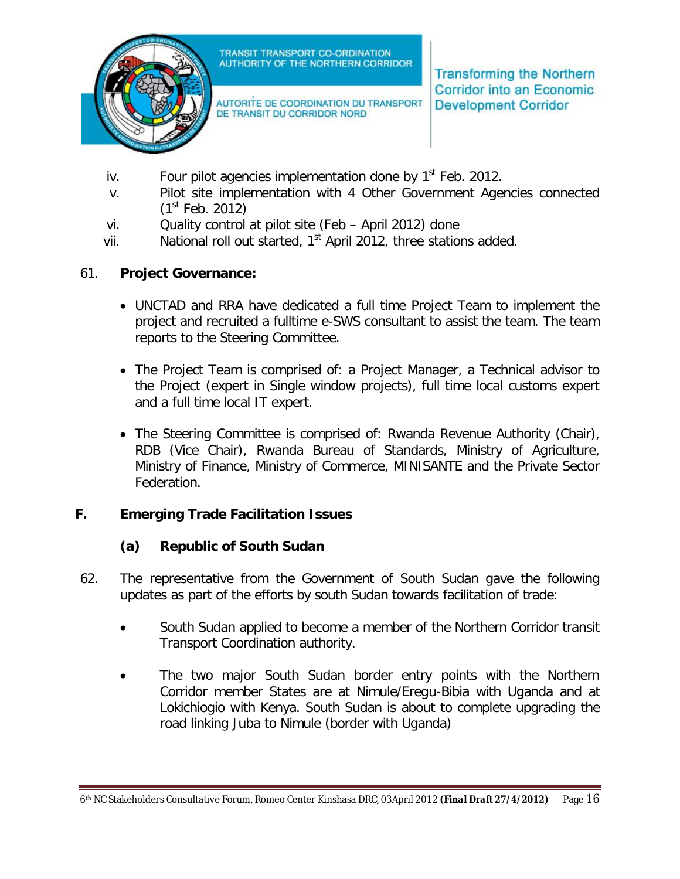

AUTORITE DE COORDINATION DU TRANSPORT DE TRANSIT DU CORRIDOR NORD

**Transforming the Northern Corridor into an Economic Development Corridor** 

- iv. Four pilot agencies implementation done by  $1<sup>st</sup>$  Feb. 2012.
- v. Pilot site implementation with 4 Other Government Agencies connected  $(1<sup>st</sup>$  Feb. 2012)
- vi. Quality control at pilot site (Feb April 2012) done
- vii. National roll out started, 1<sup>st</sup> April 2012, three stations added.

### 61. **Project Governance:**

- UNCTAD and RRA have dedicated a full time Project Team to implement the project and recruited a fulltime e-SWS consultant to assist the team. The team reports to the Steering Committee.
- The Project Team is comprised of: a Project Manager, a Technical advisor to the Project (expert in Single window projects), full time local customs expert and a full time local IT expert.
- The Steering Committee is comprised of: Rwanda Revenue Authority (Chair), RDB (Vice Chair), Rwanda Bureau of Standards, Ministry of Agriculture, Ministry of Finance, Ministry of Commerce, MINISANTE and the Private Sector Federation.

#### **F. Emerging Trade Facilitation Issues**

#### **(a) Republic of South Sudan**

- 62. The representative from the Government of South Sudan gave the following updates as part of the efforts by south Sudan towards facilitation of trade:
	- South Sudan applied to become a member of the Northern Corridor transit Transport Coordination authority.
	- The two major South Sudan border entry points with the Northern Corridor member States are at Nimule/Eregu-Bibia with Uganda and at Lokichiogio with Kenya. South Sudan is about to complete upgrading the road linking Juba to Nimule (border with Uganda)

<sup>6</sup>th NC Stakeholders Consultative Forum, Romeo Center Kinshasa DRC, 03April 2012 *(Final Draft 27/4/2012)* Page 16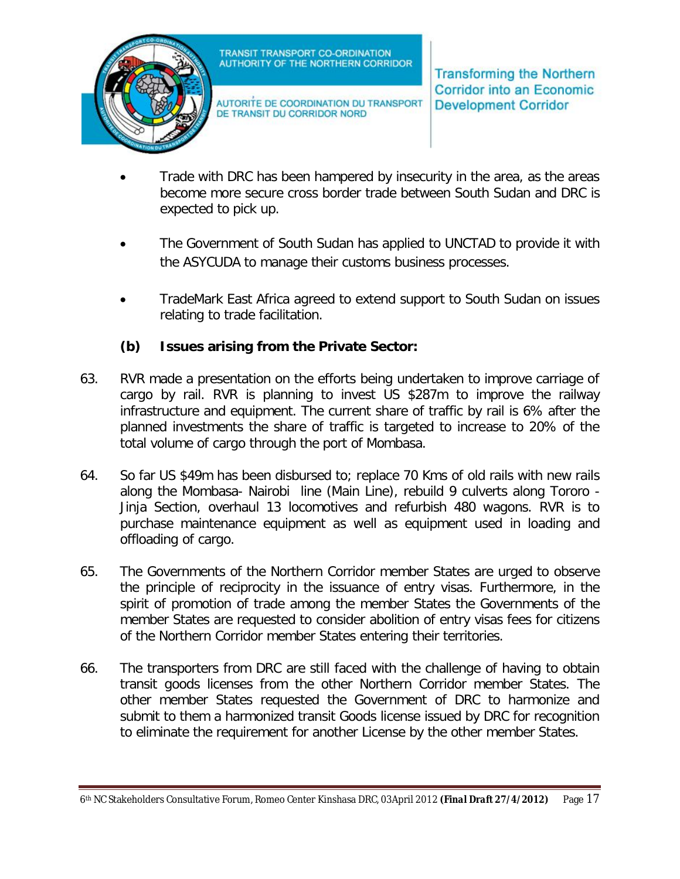

AUTORITE DE COORDINATION DU TRANSPORT DE TRANSIT DU CORRIDOR NORD

**Transforming the Northern Corridor into an Economic Development Corridor** 

- Trade with DRC has been hampered by insecurity in the area, as the areas become more secure cross border trade between South Sudan and DRC is expected to pick up.
- The Government of South Sudan has applied to UNCTAD to provide it with the ASYCUDA to manage their customs business processes.
- TradeMark East Africa agreed to extend support to South Sudan on issues relating to trade facilitation.

## **(b) Issues arising from the Private Sector:**

- 63. RVR made a presentation on the efforts being undertaken to improve carriage of cargo by rail. RVR is planning to invest US \$287m to improve the railway infrastructure and equipment. The current share of traffic by rail is 6% after the planned investments the share of traffic is targeted to increase to 20% of the total volume of cargo through the port of Mombasa.
- 64. So far US \$49m has been disbursed to; replace 70 Kms of old rails with new rails along the Mombasa- Nairobi line (Main Line), rebuild 9 culverts along Tororo - Jinja Section, overhaul 13 locomotives and refurbish 480 wagons. RVR is to purchase maintenance equipment as well as equipment used in loading and offloading of cargo.
- 65. The Governments of the Northern Corridor member States are urged to observe the principle of reciprocity in the issuance of entry visas. Furthermore, in the spirit of promotion of trade among the member States the Governments of the member States are requested to consider abolition of entry visas fees for citizens of the Northern Corridor member States entering their territories.
- 66. The transporters from DRC are still faced with the challenge of having to obtain transit goods licenses from the other Northern Corridor member States. The other member States requested the Government of DRC to harmonize and submit to them a harmonized transit Goods license issued by DRC for recognition to eliminate the requirement for another License by the other member States.

<sup>6</sup>th NC Stakeholders Consultative Forum, Romeo Center Kinshasa DRC, 03April 2012 *(Final Draft 27/4/2012)* Page 17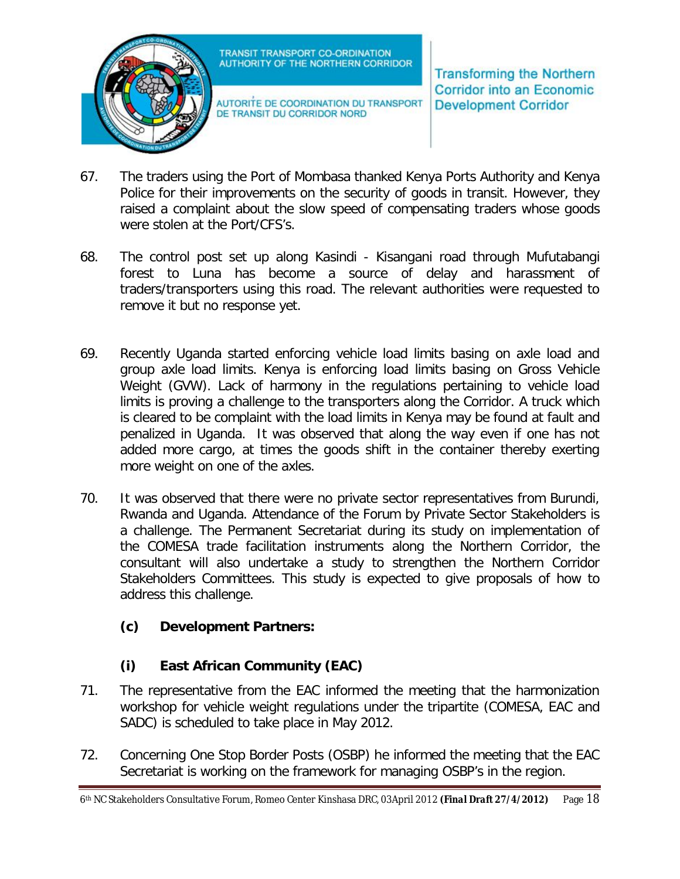

AUTORITE DE COORDINATION DU TRANSPORT DE TRANSIT DU CORRIDOR NORD

**Transforming the Northern Corridor into an Economic Development Corridor** 

- 67. The traders using the Port of Mombasa thanked Kenya Ports Authority and Kenya Police for their improvements on the security of goods in transit. However, they raised a complaint about the slow speed of compensating traders whose goods were stolen at the Port/CFS's.
- 68. The control post set up along Kasindi Kisangani road through Mufutabangi forest to Luna has become a source of delay and harassment of traders/transporters using this road. The relevant authorities were requested to remove it but no response yet.
- 69. Recently Uganda started enforcing vehicle load limits basing on axle load and group axle load limits. Kenya is enforcing load limits basing on Gross Vehicle Weight (GVW). Lack of harmony in the regulations pertaining to vehicle load limits is proving a challenge to the transporters along the Corridor. A truck which is cleared to be complaint with the load limits in Kenya may be found at fault and penalized in Uganda. It was observed that along the way even if one has not added more cargo, at times the goods shift in the container thereby exerting more weight on one of the axles.
- 70. It was observed that there were no private sector representatives from Burundi, Rwanda and Uganda. Attendance of the Forum by Private Sector Stakeholders is a challenge. The Permanent Secretariat during its study on implementation of the COMESA trade facilitation instruments along the Northern Corridor, the consultant will also undertake a study to strengthen the Northern Corridor Stakeholders Committees. This study is expected to give proposals of how to address this challenge.

# **(c) Development Partners:**

# **(i) East African Community (EAC)**

- 71. The representative from the EAC informed the meeting that the harmonization workshop for vehicle weight regulations under the tripartite (COMESA, EAC and SADC) is scheduled to take place in May 2012.
- 72. Concerning One Stop Border Posts (OSBP) he informed the meeting that the EAC Secretariat is working on the framework for managing OSBP's in the region.

<sup>6</sup>th NC Stakeholders Consultative Forum, Romeo Center Kinshasa DRC, 03April 2012 *(Final Draft 27/4/2012)* Page 18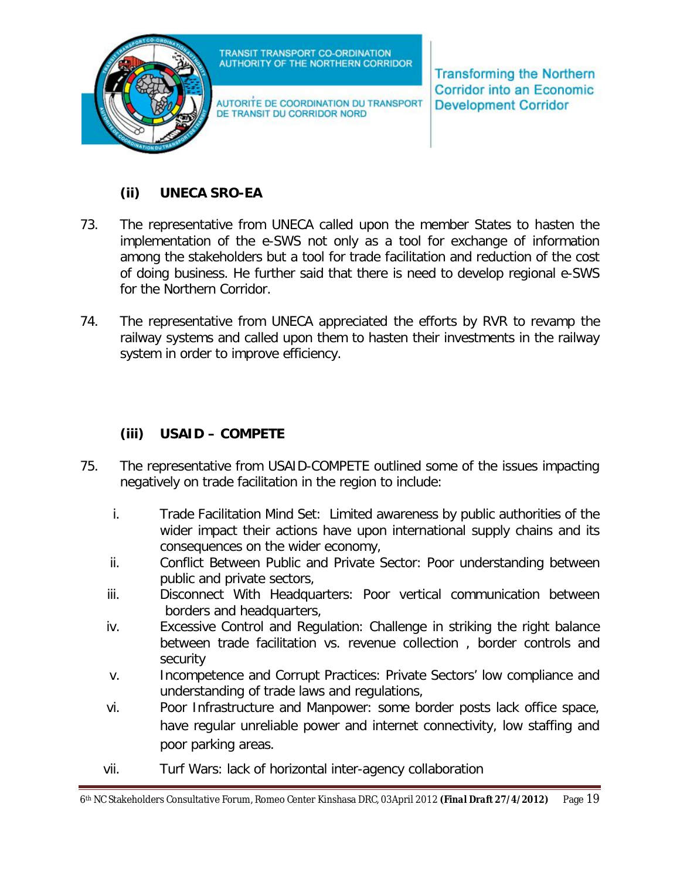

AUTORITE DE COORDINATION DU TRANSPORT DE TRANSIT DU CORRIDOR NORD

**Transforming the Northern Corridor into an Economic Development Corridor** 

# **(ii) UNECA SRO-EA**

- 73. The representative from UNECA called upon the member States to hasten the implementation of the e-SWS not only as a tool for exchange of information among the stakeholders but a tool for trade facilitation and reduction of the cost of doing business. He further said that there is need to develop regional e-SWS for the Northern Corridor.
- 74. The representative from UNECA appreciated the efforts by RVR to revamp the railway systems and called upon them to hasten their investments in the railway system in order to improve efficiency.

## **(iii) USAID – COMPETE**

- 75. The representative from USAID-COMPETE outlined some of the issues impacting negatively on trade facilitation in the region to include:
	- i. Trade Facilitation Mind Set: Limited awareness by public authorities of the wider impact their actions have upon international supply chains and its consequences on the wider economy,
	- ii. Conflict Between Public and Private Sector: Poor understanding between public and private sectors,
	- iii. Disconnect With Headquarters: Poor vertical communication between borders and headquarters,
	- iv. Excessive Control and Regulation: Challenge in striking the right balance between trade facilitation vs. revenue collection , border controls and security
	- v. Incompetence and Corrupt Practices: Private Sectors' low compliance and understanding of trade laws and regulations,
	- vi. Poor Infrastructure and Manpower: some border posts lack office space, have regular unreliable power and internet connectivity, low staffing and poor parking areas.
	- vii. Turf Wars: lack of horizontal inter-agency collaboration

<sup>6</sup>th NC Stakeholders Consultative Forum, Romeo Center Kinshasa DRC, 03April 2012 *(Final Draft 27/4/2012)* Page 19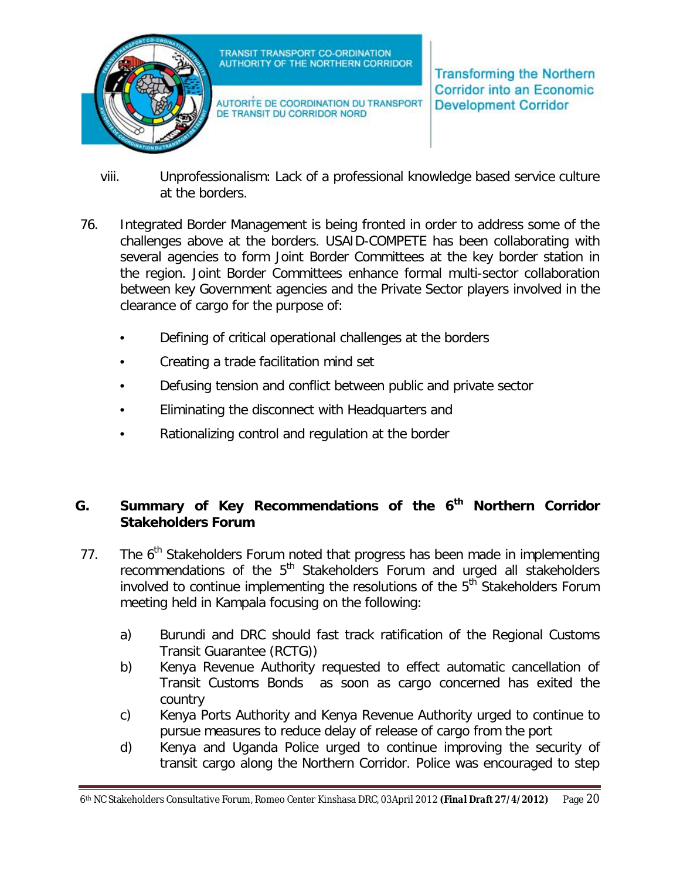

AUTORITE DE COORDINATION DU TRANSPORT DE TRANSIT DU CORRIDOR NORD

**Transforming the Northern Corridor into an Economic Development Corridor** 

- viii. Unprofessionalism: Lack of a professional knowledge based service culture at the borders.
- 76. Integrated Border Management is being fronted in order to address some of the challenges above at the borders. USAID-COMPETE has been collaborating with several agencies to form Joint Border Committees at the key border station in the region. Joint Border Committees enhance formal multi-sector collaboration between key Government agencies and the Private Sector players involved in the clearance of cargo for the purpose of:
	- Defining of critical operational challenges at the borders
	- Creating a trade facilitation mind set
	- Defusing tension and conflict between public and private sector
	- Eliminating the disconnect with Headquarters and
	- Rationalizing control and regulation at the border

## **G. Summary of Key Recommendations of the 6th Northern Corridor Stakeholders Forum**

- 77. The 6<sup>th</sup> Stakeholders Forum noted that progress has been made in implementing recommendations of the 5<sup>th</sup> Stakeholders Forum and urged all stakeholders involved to continue implementing the resolutions of the  $5<sup>th</sup>$  Stakeholders Forum meeting held in Kampala focusing on the following:
	- a) Burundi and DRC should fast track ratification of the Regional Customs Transit Guarantee (RCTG))
	- b) Kenya Revenue Authority requested to effect automatic cancellation of Transit Customs Bonds as soon as cargo concerned has exited the country
	- c) Kenya Ports Authority and Kenya Revenue Authority urged to continue to pursue measures to reduce delay of release of cargo from the port
	- d) Kenya and Uganda Police urged to continue improving the security of transit cargo along the Northern Corridor. Police was encouraged to step

<sup>6</sup>th NC Stakeholders Consultative Forum, Romeo Center Kinshasa DRC, 03April 2012 *(Final Draft 27/4/2012)* Page 20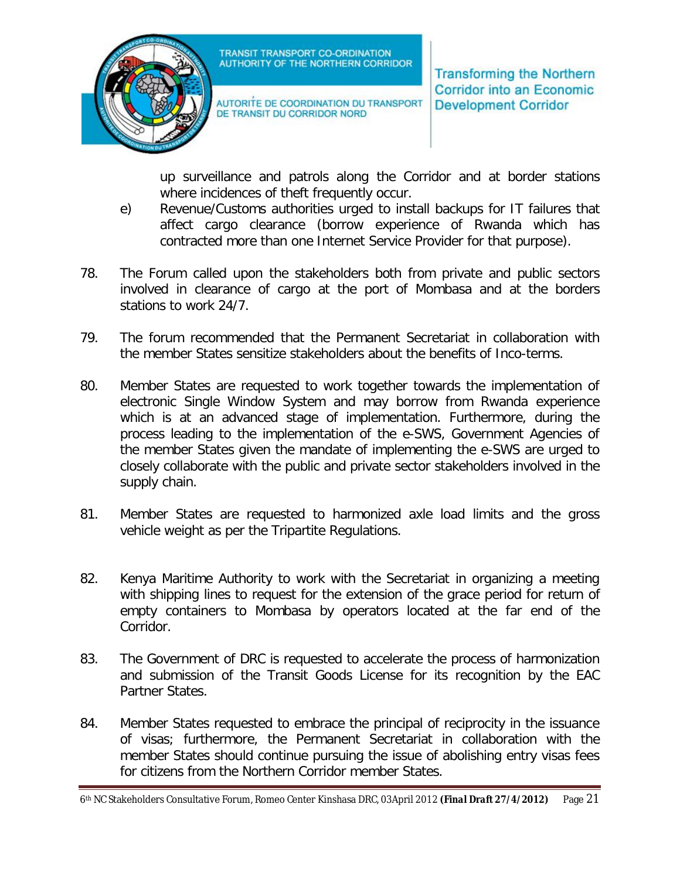

AUTORITE DE COORDINATION DU TRANSPORT DE TRANSIT DU CORRIDOR NORD

**Transforming the Northern Corridor into an Economic Development Corridor** 

up surveillance and patrols along the Corridor and at border stations where incidences of theft frequently occur.

- e) Revenue/Customs authorities urged to install backups for IT failures that affect cargo clearance (borrow experience of Rwanda which has contracted more than one Internet Service Provider for that purpose).
- 78. The Forum called upon the stakeholders both from private and public sectors involved in clearance of cargo at the port of Mombasa and at the borders stations to work 24/7.
- 79. The forum recommended that the Permanent Secretariat in collaboration with the member States sensitize stakeholders about the benefits of Inco-terms.
- 80. Member States are requested to work together towards the implementation of electronic Single Window System and may borrow from Rwanda experience which is at an advanced stage of implementation. Furthermore, during the process leading to the implementation of the e-SWS, Government Agencies of the member States given the mandate of implementing the e-SWS are urged to closely collaborate with the public and private sector stakeholders involved in the supply chain.
- 81. Member States are requested to harmonized axle load limits and the gross vehicle weight as per the Tripartite Regulations.
- 82. Kenya Maritime Authority to work with the Secretariat in organizing a meeting with shipping lines to request for the extension of the grace period for return of empty containers to Mombasa by operators located at the far end of the Corridor.
- 83. The Government of DRC is requested to accelerate the process of harmonization and submission of the Transit Goods License for its recognition by the EAC Partner States.
- 84. Member States requested to embrace the principal of reciprocity in the issuance of visas; furthermore, the Permanent Secretariat in collaboration with the member States should continue pursuing the issue of abolishing entry visas fees for citizens from the Northern Corridor member States.

<sup>6</sup>th NC Stakeholders Consultative Forum, Romeo Center Kinshasa DRC, 03April 2012 *(Final Draft 27/4/2012)* Page 21